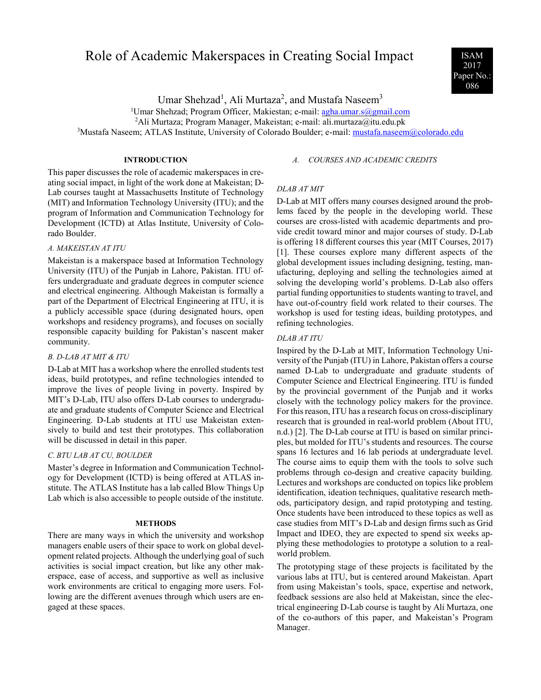# Role of Academic Makerspaces in Creating Social Impact ISAM



Umar Shehzad<sup>1</sup>, Ali Murtaza<sup>2</sup>, and Mustafa Naseem<sup>3</sup>

<sup>1</sup>Umar Shehzad; Program Officer, Makiestan; e-mail: [agha.umar.s@gmail.com](mailto:agha.umar.s@gmail.com)

<sup>2</sup>Ali Murtaza; Program Manager, Makeistan; e-mail: ali.murtaza@itu.edu.pk

<sup>3</sup>Mustafa Naseem; ATLAS Institute, University of Colorado Boulder; e-mail: [mustafa.naseem@colorado.edu](mailto:mustafa.naseem@colorado.edu)

# **INTRODUCTION**

This paper discusses the role of academic makerspaces in creating social impact, in light of the work done at Makeistan; D-Lab courses taught at Massachusetts Institute of Technology (MIT) and Information Technology University (ITU); and the program of Information and Communication Technology for Development (ICTD) at Atlas Institute, University of Colorado Boulder.

# *A. MAKEISTAN AT ITU*

Makeistan is a makerspace based at Information Technology University (ITU) of the Punjab in Lahore, Pakistan. ITU offers undergraduate and graduate degrees in computer science and electrical engineering. Although Makeistan is formally a part of the Department of Electrical Engineering at ITU, it is a publicly accessible space (during designated hours, open workshops and residency programs), and focuses on socially responsible capacity building for Pakistan's nascent maker community.

## *B. D-LAB AT MIT & ITU*

D-Lab at MIT has a workshop where the enrolled students test ideas, build prototypes, and refine technologies intended to improve the lives of people living in poverty. Inspired by MIT's D-Lab, ITU also offers D-Lab courses to undergraduate and graduate students of Computer Science and Electrical Engineering. D-Lab students at ITU use Makeistan extensively to build and test their prototypes. This collaboration will be discussed in detail in this paper.

# *C. BTU LAB AT CU, BOULDER*

Master's degree in Information and Communication Technology for Development (ICTD) is being offered at ATLAS institute. The ATLAS Institute has a lab called Blow Things Up Lab which is also accessible to people outside of the institute.

### **METHODS**

There are many ways in which the university and workshop managers enable users of their space to work on global development related projects. Although the underlying goal of such activities is social impact creation, but like any other makerspace, ease of access, and supportive as well as inclusive work environments are critical to engaging more users. Following are the different avenues through which users are engaged at these spaces.

## *A. COURSES AND ACADEMIC CREDITS*

# *DLAB AT MIT*

D-Lab at MIT offers many courses designed around the problems faced by the people in the developing world. These courses are cross-listed with academic departments and provide credit toward minor and major courses of study. D-Lab is offering 18 different courses this year (MIT Courses, 2017) [1]. These courses explore many different aspects of the global development issues including designing, testing, manufacturing, deploying and selling the technologies aimed at solving the developing world's problems. D-Lab also offers partial funding opportunities to students wanting to travel, and have out-of-country field work related to their courses. The workshop is used for testing ideas, building prototypes, and refining technologies.

#### *DLAB AT ITU*

Inspired by the D-Lab at MIT, Information Technology University of the Punjab (ITU) in Lahore, Pakistan offers a course named D-Lab to undergraduate and graduate students of Computer Science and Electrical Engineering. ITU is funded by the provincial government of the Punjab and it works closely with the technology policy makers for the province. For this reason, ITU has a research focus on cross-disciplinary research that is grounded in real-world problem (About ITU, n.d.) [2]. The D-Lab course at ITU is based on similar principles, but molded for ITU's students and resources. The course spans 16 lectures and 16 lab periods at undergraduate level. The course aims to equip them with the tools to solve such problems through co-design and creative capacity building. Lectures and workshops are conducted on topics like problem identification, ideation techniques, qualitative research methods, participatory design, and rapid prototyping and testing. Once students have been introduced to these topics as well as case studies from MIT's D-Lab and design firms such as Grid Impact and IDEO, they are expected to spend six weeks applying these methodologies to prototype a solution to a realworld problem.

The prototyping stage of these projects is facilitated by the various labs at ITU, but is centered around Makeistan. Apart from using Makeistan's tools, space, expertise and network, feedback sessions are also held at Makeistan, since the electrical engineering D-Lab course is taught by Ali Murtaza, one of the co-authors of this paper, and Makeistan's Program Manager.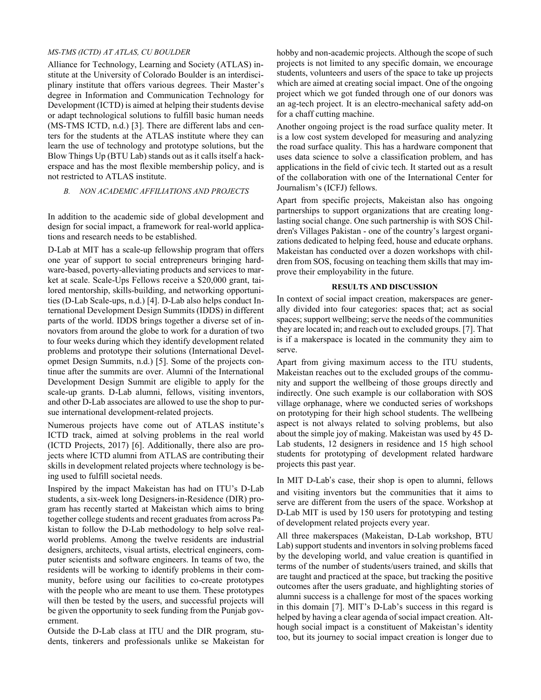# *MS-TMS (ICTD) AT ATLAS, CU BOULDER*

Alliance for Technology, Learning and Society (ATLAS) institute at the University of Colorado Boulder is an interdisciplinary institute that offers various degrees. Their Master's degree in Information and Communication Technology for Development (ICTD) is aimed at helping their students devise or adapt technological solutions to fulfill basic human needs (MS-TMS ICTD, n.d.) [3]. There are different labs and centers for the students at the ATLAS institute where they can learn the use of technology and prototype solutions, but the Blow Things Up (BTU Lab) stands out as it calls itself a hackerspace and has the most flexible membership policy, and is not restricted to ATLAS institute.

# *B. NON ACADEMIC AFFILIATIONS AND PROJECTS*

In addition to the academic side of global development and design for social impact, a framework for real-world applications and research needs to be established.

D-Lab at MIT has a scale-up fellowship program that offers one year of support to social entrepreneurs bringing hardware-based, poverty-alleviating products and services to market at scale. Scale-Ups Fellows receive a \$20,000 grant, tailored mentorship, skills-building, and networking opportunities (D-Lab Scale-ups, n.d.) [4]. D-Lab also helps conduct International Development Design Summits (IDDS) in different parts of the world. IDDS brings together a diverse set of innovators from around the globe to work for a duration of two to four weeks during which they identify development related problems and prototype their solutions (International Developmet Design Summits, n.d.) [5]. Some of the projects continue after the summits are over. Alumni of the International Development Design Summit are eligible to apply for the scale-up grants. D-Lab alumni, fellows, visiting inventors, and other D-Lab associates are allowed to use the shop to pursue international development-related projects.

Numerous projects have come out of ATLAS institute's ICTD track, aimed at solving problems in the real world (ICTD Projects, 2017) [6]. Additionally, there also are projects where ICTD alumni from ATLAS are contributing their skills in development related projects where technology is being used to fulfill societal needs.

Inspired by the impact Makeistan has had on ITU's D-Lab students, a six-week long Designers-in-Residence (DIR) program has recently started at Makeistan which aims to bring together college students and recent graduates from across Pakistan to follow the D-Lab methodology to help solve realworld problems. Among the twelve residents are industrial designers, architects, visual artists, electrical engineers, computer scientists and software engineers. In teams of two, the residents will be working to identify problems in their community, before using our facilities to co-create prototypes with the people who are meant to use them. These prototypes will then be tested by the users, and successful projects will be given the opportunity to seek funding from the Punjab government.

Outside the D-Lab class at ITU and the DIR program, students, tinkerers and professionals unlike se Makeistan for hobby and non-academic projects. Although the scope of such projects is not limited to any specific domain, we encourage students, volunteers and users of the space to take up projects which are aimed at creating social impact. One of the ongoing project which we got funded through one of our donors was an ag-tech project. It is an electro-mechanical safety add-on for a chaff cutting machine.

Another ongoing project is the road surface quality meter. It is a low cost system developed for measuring and analyzing the road surface quality. This has a hardware component that uses data science to solve a classification problem, and has applications in the field of civic tech. It started out as a result of the collaboration with one of the International Center for Journalism's (ICFJ) fellows.

Apart from specific projects, Makeistan also has ongoing partnerships to support organizations that are creating longlasting social change. One such partnership is with SOS Children's Villages Pakistan - one of the country's largest organizations dedicated to helping feed, house and educate orphans. Makeistan has conducted over a dozen workshops with children from SOS, focusing on teaching them skills that may improve their employability in the future.

## **RESULTS AND DISCUSSION**

In context of social impact creation, makerspaces are generally divided into four categories: spaces that; act as social spaces; support wellbeing; serve the needs of the communities they are located in; and reach out to excluded groups. [7]. That is if a makerspace is located in the community they aim to serve.

Apart from giving maximum access to the ITU students, Makeistan reaches out to the excluded groups of the community and support the wellbeing of those groups directly and indirectly. One such example is our collaboration with SOS village orphanage, where we conducted series of workshops on prototyping for their high school students. The wellbeing aspect is not always related to solving problems, but also about the simple joy of making. Makeistan was used by 45 D-Lab students, 12 designers in residence and 15 high school students for prototyping of development related hardware projects this past year.

In MIT D-Lab's case, their shop is open to alumni, fellows and visiting inventors but the communities that it aims to serve are different from the users of the space. Workshop at D-Lab MIT is used by 150 users for prototyping and testing of development related projects every year.

All three makerspaces (Makeistan, D-Lab workshop, BTU Lab) support students and inventors in solving problems faced by the developing world, and value creation is quantified in terms of the number of students/users trained, and skills that are taught and practiced at the space, but tracking the positive outcomes after the users graduate, and highlighting stories of alumni success is a challenge for most of the spaces working in this domain [7]. MIT's D-Lab's success in this regard is helped by having a clear agenda of social impact creation. Although social impact is a constituent of Makeistan's identity too, but its journey to social impact creation is longer due to